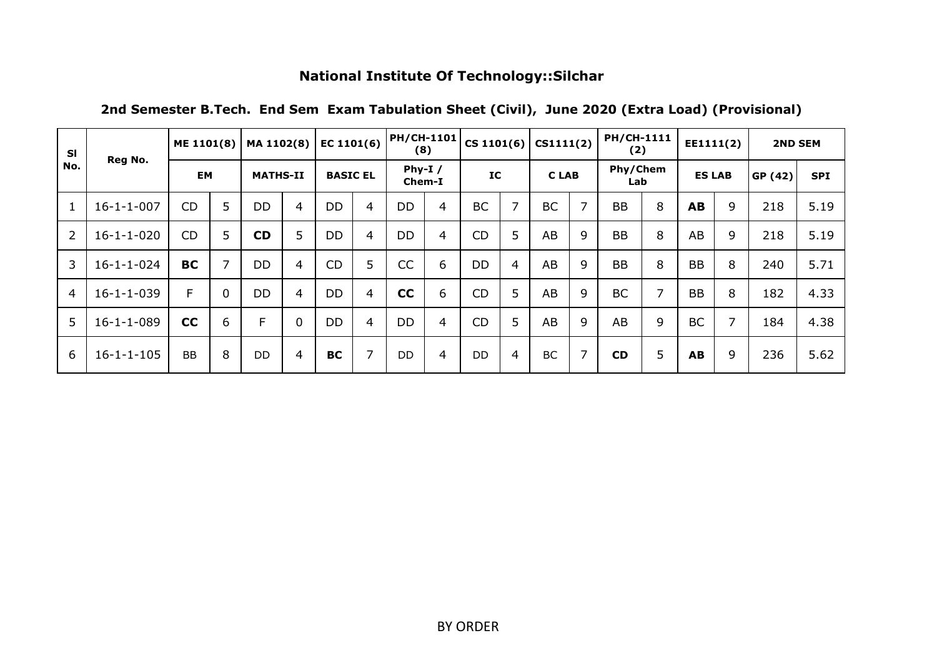| <b>SI</b>      |                    | ME 1101(8) |                | MA 1102(8)      |                | EC $1101(6)$    |                | <b>PH/CH-1101</b><br>(8) |                |           |   | CS 1101(6) $ $ CS1111(2) |                | <b>PH/CH-1111</b><br>(2) |   | EE1111(2)     |   | <b>2ND SEM</b> |            |
|----------------|--------------------|------------|----------------|-----------------|----------------|-----------------|----------------|--------------------------|----------------|-----------|---|--------------------------|----------------|--------------------------|---|---------------|---|----------------|------------|
| No.            | Reg No.            | <b>EM</b>  |                | <b>MATHS-II</b> |                | <b>BASIC EL</b> |                | Phy-I $/$<br>Chem-I      |                | IC        |   | <b>CLAB</b>              |                | Phy/Chem<br>Lab          |   | <b>ES LAB</b> |   | GP (42)        | <b>SPI</b> |
| $\mathbf{1}$   | $16 - 1 - 1 - 007$ | <b>CD</b>  | 5              | <b>DD</b>       | $\overline{4}$ | <b>DD</b>       | 4              | <b>DD</b>                | $\overline{4}$ | <b>BC</b> | 7 | <b>BC</b>                | $\overline{7}$ | <b>BB</b>                | 8 | AB            | 9 | 218            | 5.19       |
| $\overline{2}$ | $16 - 1 - 1 - 020$ | <b>CD</b>  | 5              | <b>CD</b>       | 5              | <b>DD</b>       | 4              | <b>DD</b>                | $\overline{4}$ | <b>CD</b> | 5 | AB                       | 9              | <b>BB</b>                | 8 | AB            | 9 | 218            | 5.19       |
| 3              | $16 - 1 - 1 - 024$ | <b>BC</b>  | $\overline{7}$ | <b>DD</b>       | $\overline{4}$ | <b>CD</b>       | 5              | CC                       | 6              | <b>DD</b> | 4 | AB                       | 9              | <b>BB</b>                | 8 | <b>BB</b>     | 8 | 240            | 5.71       |
| $\overline{4}$ | $16 - 1 - 1 - 039$ | F.         | $\mathbf{0}$   | <b>DD</b>       | 4              | <b>DD</b>       | $\overline{4}$ | cc                       | 6              | CD        | 5 | AB                       | 9              | <b>BC</b>                | 7 | <b>BB</b>     | 8 | 182            | 4.33       |
| 5              | $16 - 1 - 1 - 089$ | cc         | 6              | F               | $\mathbf 0$    | <b>DD</b>       | $\overline{4}$ | <b>DD</b>                | $\overline{4}$ | <b>CD</b> | 5 | AB                       | 9              | AB                       | 9 | <b>BC</b>     | 7 | 184            | 4.38       |
| 6              | $16 - 1 - 1 - 105$ | <b>BB</b>  | 8              | DD.             | $\overline{4}$ | <b>BC</b>       | 7              | D <sub>D</sub>           | $\overline{4}$ | <b>DD</b> | 4 | <b>BC</b>                | 7              | <b>CD</b>                | 5 | AB            | 9 | 236            | 5.62       |

**2nd Semester B.Tech. End Sem Exam Tabulation Sheet (Civil), June 2020 (Extra Load) (Provisional)**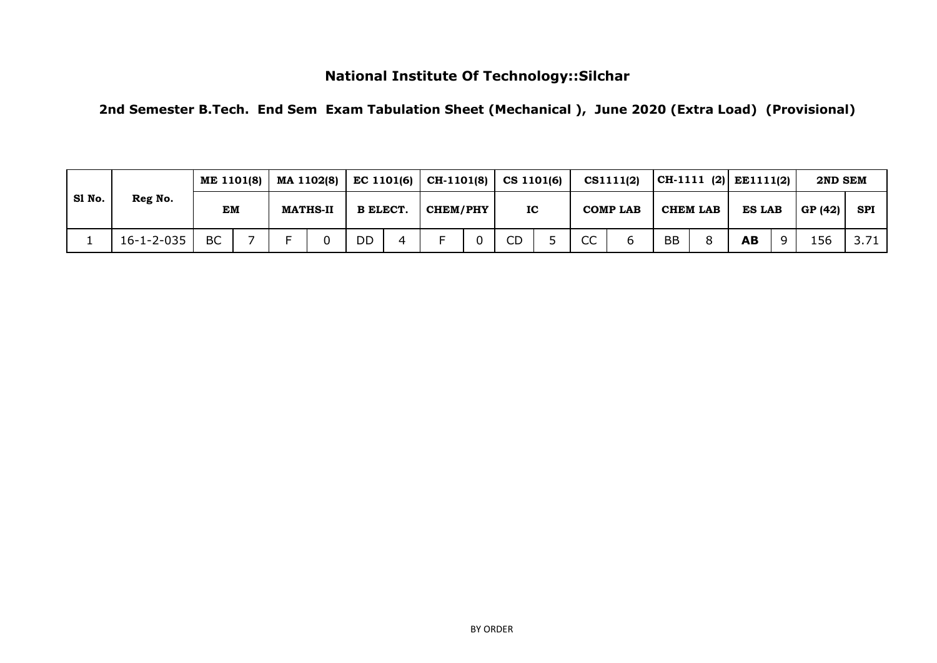**2nd Semester B.Tech. End Sem Exam Tabulation Sheet (Mechanical ), June 2020 (Extra Load) (Provisional)**

|        |                    | ME 1101(8) |  |                 | MA 1102(8) |                 | $EC$ 1101(6) | $CH-1101(8)$   CS 1101(6) |           |                    | CS1111(2)       |    |          | $ CH-1111 (2)  E E1111(2)$ | 2ND SEM |      |
|--------|--------------------|------------|--|-----------------|------------|-----------------|--------------|---------------------------|-----------|--------------------|-----------------|----|----------|----------------------------|---------|------|
| SI No. | Reg No.            | EM         |  | <b>MATHS-II</b> |            | <b>B ELECT.</b> |              | <b>CHEM/PHY</b>           | IC        |                    | <b>COMP LAB</b> |    | CHEM LAB | <b>ES LAB</b>              | GP (42) | SPI  |
|        | $16 - 1 - 2 - 035$ | <b>BC</b>  |  |                 |            | DD              |              |                           | <b>CD</b> | <sub>cc</sub><br>w |                 | BB |          | AB                         | 156     | 3.71 |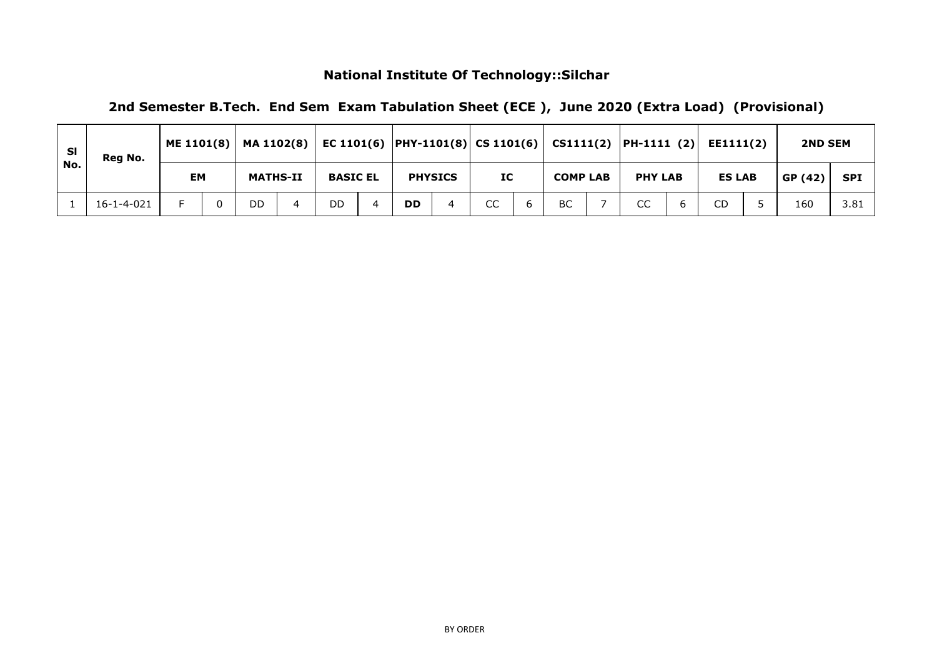| -SI | Reg No.    | ME $1101(8)$ | MA 1102(8)      |                 |           |                |    |                 | EC 1101(6) $ PHY-1101(8) $ CS 1101(6) $ $ CS1111(2) $ PH-1111$ (2) | EE1111(2)     | <b>2ND SEM</b> |            |
|-----|------------|--------------|-----------------|-----------------|-----------|----------------|----|-----------------|--------------------------------------------------------------------|---------------|----------------|------------|
| No. |            | <b>EM</b>    | <b>MATHS-II</b> | <b>BASIC EL</b> |           | <b>PHYSICS</b> | IC | <b>COMP LAB</b> | <b>PHY LAB</b>                                                     | <b>ES LAB</b> | GP(42)         | <b>SPI</b> |
|     | 16-1-4-021 |              | DD              | DD              | <b>DD</b> | 4              | CC | BC              | CC                                                                 | CD.           | 160            | 3.81       |

**2nd Semester B.Tech. End Sem Exam Tabulation Sheet (ECE ), June 2020 (Extra Load) (Provisional)**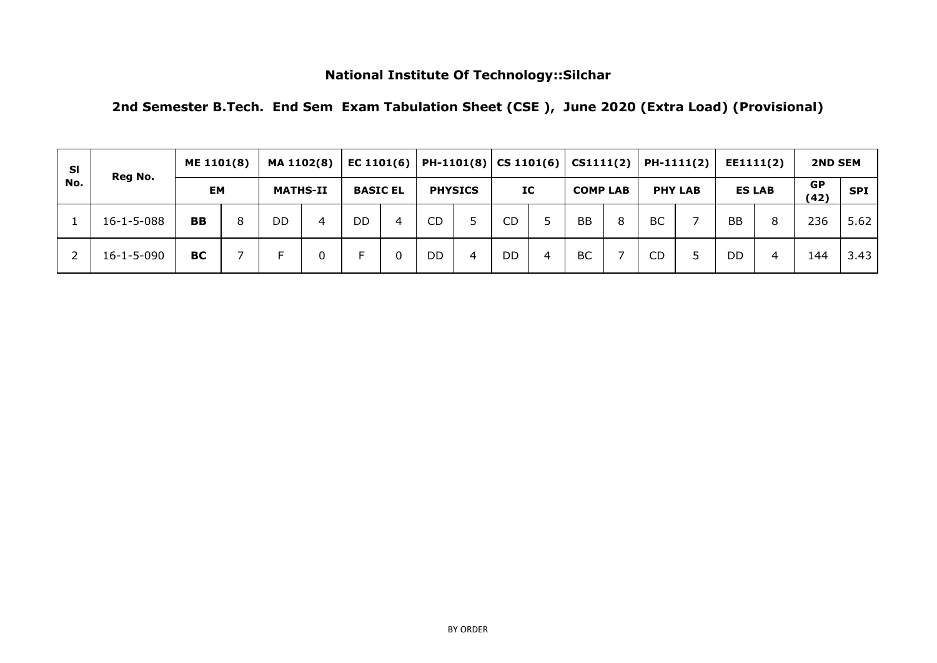| 2nd Semester B.Tech. End Sem Exam Tabulation Sheet (CSE), June 2020 (Extra Load) (Provisional) |  |  |  |  |  |  |
|------------------------------------------------------------------------------------------------|--|--|--|--|--|--|
|------------------------------------------------------------------------------------------------|--|--|--|--|--|--|

| <b>SI</b> | Reg No.            | ME 1101(8) |   | MA 1102(8)      |   | EC $1101(6)$    |   |           |                |           |   | PH-1101(8)   CS 1101(6)   CS1111(2) |   |           | PH-1111(2)     |           | EE1111(2)     | <b>2ND SEM</b>    |            |
|-----------|--------------------|------------|---|-----------------|---|-----------------|---|-----------|----------------|-----------|---|-------------------------------------|---|-----------|----------------|-----------|---------------|-------------------|------------|
| No.       |                    | <b>EM</b>  |   | <b>MATHS-II</b> |   | <b>BASIC EL</b> |   |           | <b>PHYSICS</b> | IC        |   | <b>COMP LAB</b>                     |   |           | <b>PHY LAB</b> |           | <b>ES LAB</b> | <b>GP</b><br>(42) | <b>SPI</b> |
|           | $16 - 1 - 5 - 088$ | <b>BB</b>  | 8 | DD              | 4 | DD              | 4 | <b>CD</b> | Б.             | <b>CD</b> |   | <b>BB</b>                           | 8 | <b>BC</b> |                | <b>BB</b> | 8             | 236               | 5.62       |
|           | $16 - 1 - 5 - 090$ | <b>BC</b>  |   | Е               | 0 |                 |   | DD        | 4              | DD        | 4 | <b>BC</b>                           |   | <b>CD</b> | 5              | <b>DD</b> | 4             | 144               | 3.43       |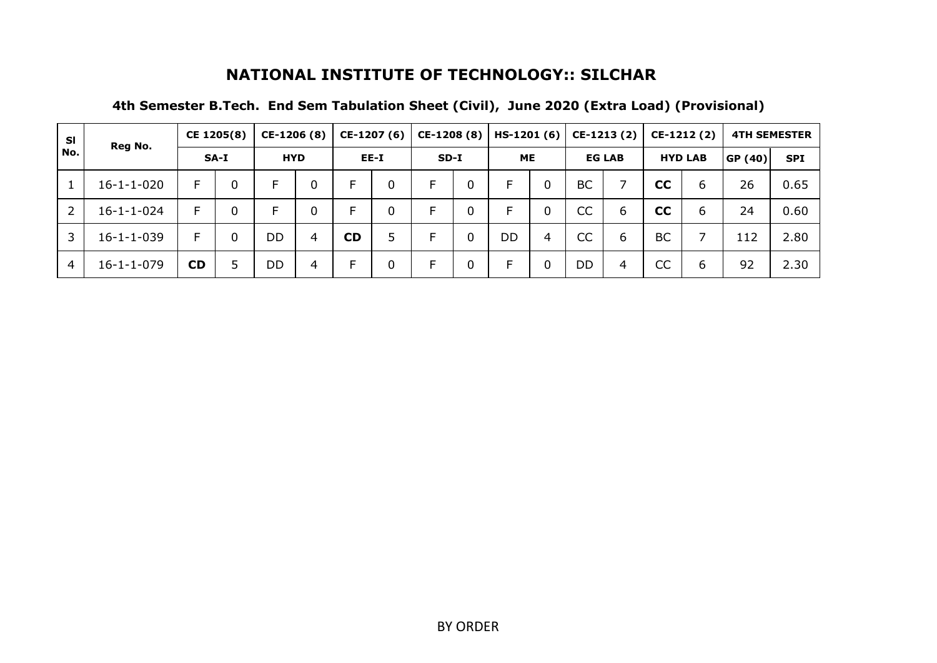| <b>SI</b>      | Reg No.            |           | CE 1205(8) | CE-1206 (8) |   |           | CE-1207 (6) | CE-1208 (8) |             | $HS-1201(6)$ |   |           | $CE-1213(2)$  |           | $CE-1212(2)$   |        | <b>4TH SEMESTER</b> |
|----------------|--------------------|-----------|------------|-------------|---|-----------|-------------|-------------|-------------|--------------|---|-----------|---------------|-----------|----------------|--------|---------------------|
| No.            |                    |           | SA-I       | <b>HYD</b>  |   |           | EE-I        | $SD-I$      |             | <b>ME</b>    |   |           | <b>EG LAB</b> |           | <b>HYD LAB</b> | GP(40) | <b>SPI</b>          |
|                | $16 - 1 - 1 - 020$ | E.        | 0          | F           | 0 | E         |             |             | 0           | E            | 0 | BC        |               | cc        | 6              | 26     | 0.65                |
|                | $16 - 1 - 1 - 024$ | E.        | 0          | F           | 0 | E         |             |             | 0           | F            | 0 | CC        | 6             | cc        | 6              | 24     | 0.60                |
| 3              | $16 - 1 - 1 - 039$ | F.        | 0          | DD          | 4 | <b>CD</b> | 5           |             | $\mathbf 0$ | <b>DD</b>    | 4 | <b>CC</b> | 6             | <b>BC</b> |                | 112    | 2.80                |
| $\overline{4}$ | $16 - 1 - 1 - 079$ | <b>CD</b> | 5          | DD          | 4 | E         |             |             | 0           | F            | 0 | DD        | 4             | CC        | 6              | 92     | 2.30                |

# **4th Semester B.Tech. End Sem Tabulation Sheet (Civil), June 2020 (Extra Load) (Provisional)**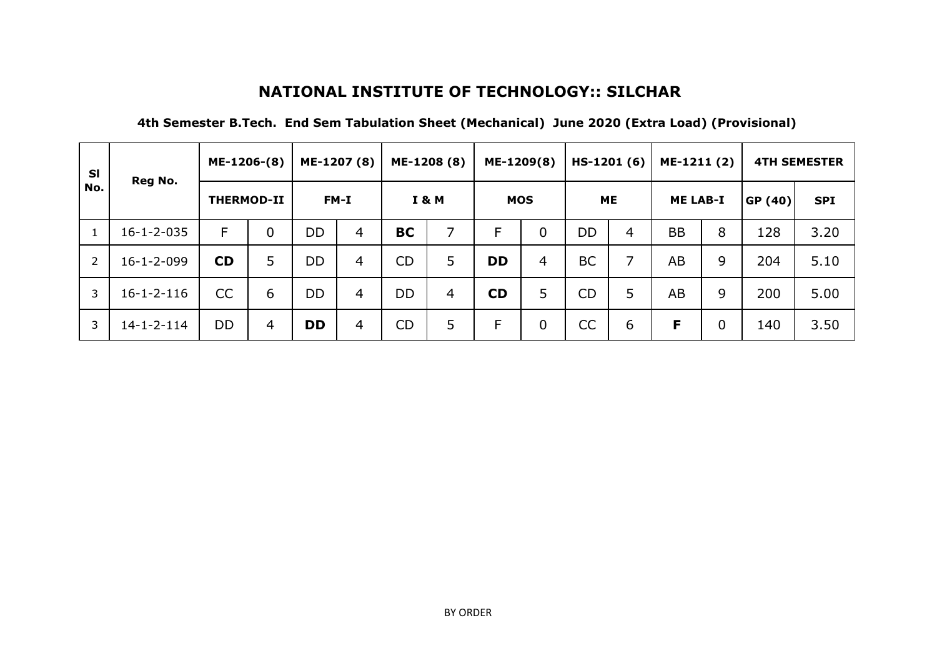| <b>SI</b>      | Reg No.            | ME-1206-(8)       |             |           | ME-1207 (8)    |           | ME-1208 (8)      | ME-1209(8) |                | $HS-1201(6)$ |                | ME-1211 (2)     |   |                | <b>4TH SEMESTER</b> |
|----------------|--------------------|-------------------|-------------|-----------|----------------|-----------|------------------|------------|----------------|--------------|----------------|-----------------|---|----------------|---------------------|
| No.            |                    | <b>THERMOD-II</b> |             |           | FM-I           |           | <b>I &amp; M</b> | <b>MOS</b> |                | <b>ME</b>    |                | <b>ME LAB-I</b> |   | <b>GP (40)</b> | <b>SPI</b>          |
| $\mathbf{1}$   | $16 - 1 - 2 - 035$ | F                 | $\mathbf 0$ | <b>DD</b> | $\overline{4}$ | <b>BC</b> | 7                | F          | $\mathbf 0$    | DD           | $\overline{4}$ | <b>BB</b>       | 8 | 128            | 3.20                |
| $\overline{2}$ | $16 - 1 - 2 - 099$ | <b>CD</b>         | 5           | <b>DD</b> | $\overline{4}$ | <b>CD</b> | 5                | <b>DD</b>  | $\overline{4}$ | <b>BC</b>    | ᄀ              | AB              | 9 | 204            | 5.10                |
| 3              | $16 - 1 - 2 - 116$ | CC                | 6           | <b>DD</b> | 4              | <b>DD</b> | $\overline{4}$   | <b>CD</b>  | 5              | <b>CD</b>    | 5              | AB              | 9 | 200            | 5.00                |
| 3              | $14 - 1 - 2 - 114$ | <b>DD</b>         | 4           | <b>DD</b> | 4              | <b>CD</b> | 5                | F          | $\mathbf 0$    | <b>CC</b>    | 6              | F               | 0 | 140            | 3.50                |

#### **4th Semester B.Tech. End Sem Tabulation Sheet (Mechanical) June 2020 (Extra Load) (Provisional)**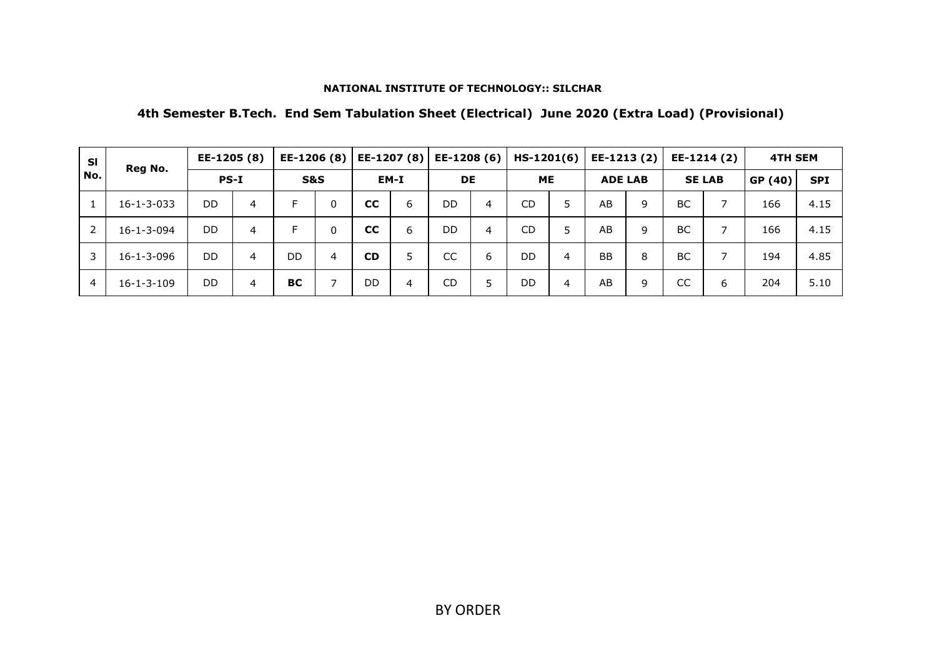### **4th Semester B.Tech. End Sem Tabulation Sheet (Electrical) June 2020 (Extra Load) (Provisional)**

| <b>SI</b>      | Reg No.            | EE-1205 (8) |   | EE-1206 (8)    |              | EE-1207 (8) |   | EE-1208 (6) |   | $HS-1201(6)$ |   | EE-1213 (2)    |   |           | EE-1214 (2)    | <b>4TH SEM</b> |            |
|----------------|--------------------|-------------|---|----------------|--------------|-------------|---|-------------|---|--------------|---|----------------|---|-----------|----------------|----------------|------------|
| No.            |                    | <b>PS-I</b> |   | <b>S&amp;S</b> |              | EM-I        |   | <b>DE</b>   |   | <b>ME</b>    |   | <b>ADE LAB</b> |   |           | <b>SE LAB</b>  | GP (40)        | <b>SPI</b> |
| 1              | $16 - 1 - 3 - 033$ | DD          | 4 | E              | $\mathbf{0}$ | <b>CC</b>   | 6 | DD          | 4 | <b>CD</b>    |   | AB             | 9 | <b>BC</b> | $\overline{ }$ | 166            | 4.15       |
|                | $16 - 1 - 3 - 094$ | DD.         | 4 | E              | $\mathbf{0}$ | <b>CC</b>   | 6 | DD          | 4 | <b>CD</b>    | 5 | AB             | q | <b>BC</b> | ⇁              | 166            | 4.15       |
| 3              | $16 - 1 - 3 - 096$ | DD.         | 4 | DD             | 4            | <b>CD</b>   | 5 | CC          | 6 | <b>DD</b>    | 4 | <b>BB</b>      | 8 | <b>BC</b> |                | 194            | 4.85       |
| $\overline{4}$ | $16 - 1 - 3 - 109$ | DD.         | 4 | <b>BC</b>      |              | DD          | 4 | CD          |   | DD           | 4 | AB             | 9 | CC        | 6              | 204            | 5.10       |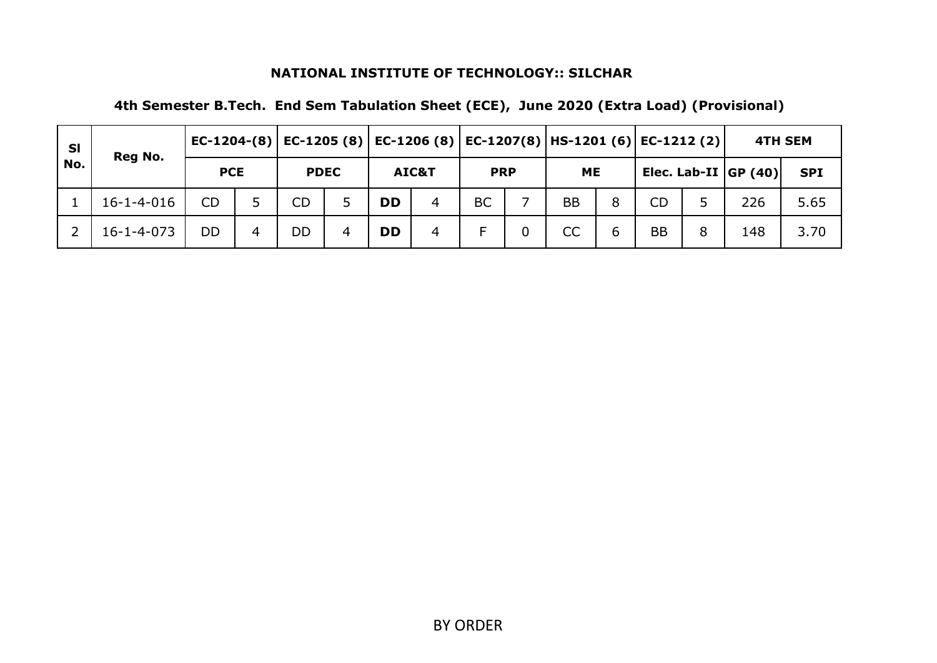| <b>SI</b> | Reg No.            |            |   |             |   |           |       |            |                | EC-1204-(8)   EC-1205 (8)   EC-1206 (8)   EC-1207(8)   HS-1201 (6)   EC-1212 (2) |   |           |   |                          | <b>4TH SEM</b> |
|-----------|--------------------|------------|---|-------------|---|-----------|-------|------------|----------------|----------------------------------------------------------------------------------|---|-----------|---|--------------------------|----------------|
| No.       |                    | <b>PCE</b> |   | <b>PDEC</b> |   |           | AIC&T | <b>PRP</b> |                | <b>ME</b>                                                                        |   |           |   | Elec. Lab-II $ GP (40) $ | <b>SPI</b>     |
|           | $16 - 1 - 4 - 016$ | <b>CD</b>  |   | CD          | 5 | <b>DD</b> | 4     | <b>BC</b>  |                | <b>BB</b>                                                                        | 8 | <b>CD</b> |   | 226                      | 5.65           |
|           | 16-1-4-073         | DD         | 4 | DD          | 4 | <b>DD</b> | 4     | F          | $\overline{0}$ | <b>CC</b>                                                                        | 6 | <b>BB</b> | 8 | 148                      | 3.70           |

**4th Semester B.Tech. End Sem Tabulation Sheet (ECE), June 2020 (Extra Load) (Provisional)**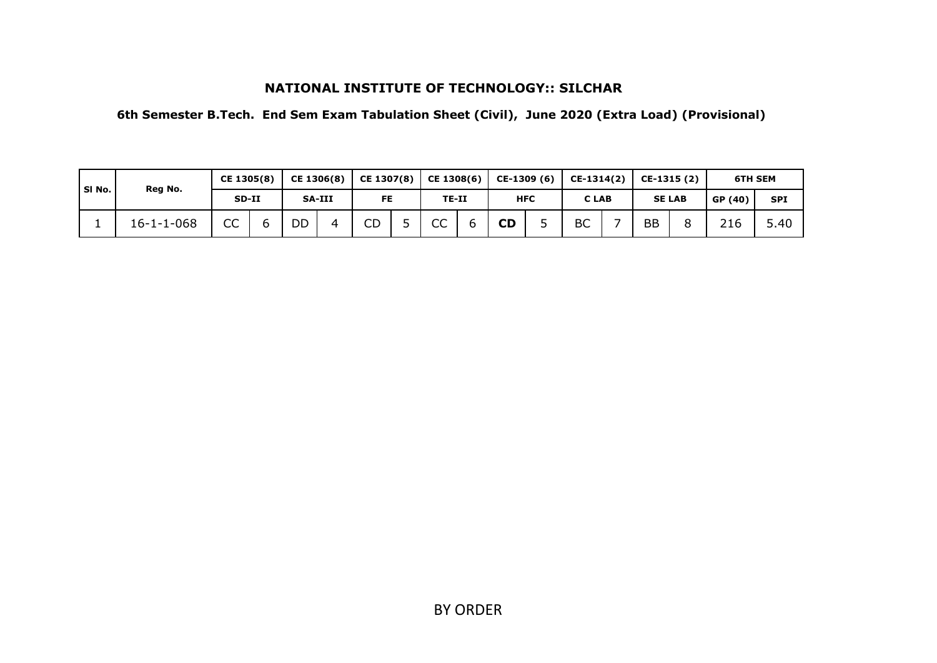**6th Semester B.Tech. End Sem Exam Tabulation Sheet (Civil), June 2020 (Extra Load) (Provisional)**

| SI No. | Reg No.            | CE 1305(8) | CE 1306(8)    |   | CE 1307(8) | CE 1308(6) | CE-1309 (6) |            | CE-1314(2) | CE-1315 (2) |               | <b>6TH SEM</b> |            |
|--------|--------------------|------------|---------------|---|------------|------------|-------------|------------|------------|-------------|---------------|----------------|------------|
|        |                    | SD-II      | <b>SA-III</b> |   | <b>FE</b>  | TE-II      |             | <b>HFC</b> | C LAB      |             | <b>SE LAB</b> | GP (40)        | <b>SPI</b> |
|        | $16 - 1 - 1 - 068$ | CC         | DD            | ⊿ | CD         | CC         | <b>CD</b>   |            | <b>BC</b>  | <b>BB</b>   |               | 216            | 5.40       |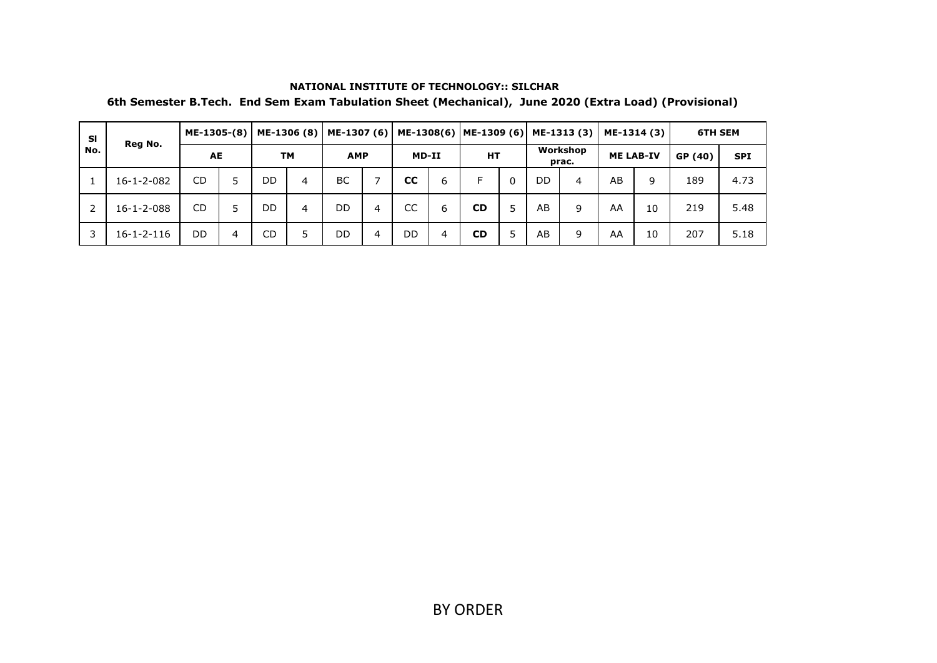| <b>SI</b> | Reg No.            | ME-1305-(8) |   |           | ME-1306 (8) | ME-1307 (6) |   |           |   | ME-1308(6)   ME-1309 (6) |   |           | ME-1313 (3)       |    | ME-1314 (3)      | <b>6TH SEM</b> |            |
|-----------|--------------------|-------------|---|-----------|-------------|-------------|---|-----------|---|--------------------------|---|-----------|-------------------|----|------------------|----------------|------------|
| No.       |                    | AE          |   | <b>TM</b> |             | <b>AMP</b>  |   | MD-II     |   | НT                       |   |           | Workshop<br>prac. |    | <b>ME LAB-IV</b> | GP (40)        | <b>SPI</b> |
|           | $16 - 1 - 2 - 082$ | CD          |   | DD        | 4           | BC          |   | <b>CC</b> | 6 | F                        | 0 | <b>DD</b> | 4                 | AB | 9                | 189            | 4.73       |
| 2         | $16 - 1 - 2 - 088$ | <b>CD</b>   |   | DD        | 4           | DD          | 4 | CC        | 6 | <b>CD</b>                |   | AB        | 9                 | AA | 10               | 219            | 5.48       |
| 3         | $16 - 1 - 2 - 116$ | DD          | 4 | CD        | 5           | DD          | 4 | DD        | 4 | <b>CD</b>                |   | AB        | 9                 | AA | 10               | 207            | 5.18       |

#### **NATIONAL INSTITUTE OF TECHNOLOGY:: SILCHAR 6th Semester B.Tech. End Sem Exam Tabulation Sheet (Mechanical), June 2020 (Extra Load) (Provisional)**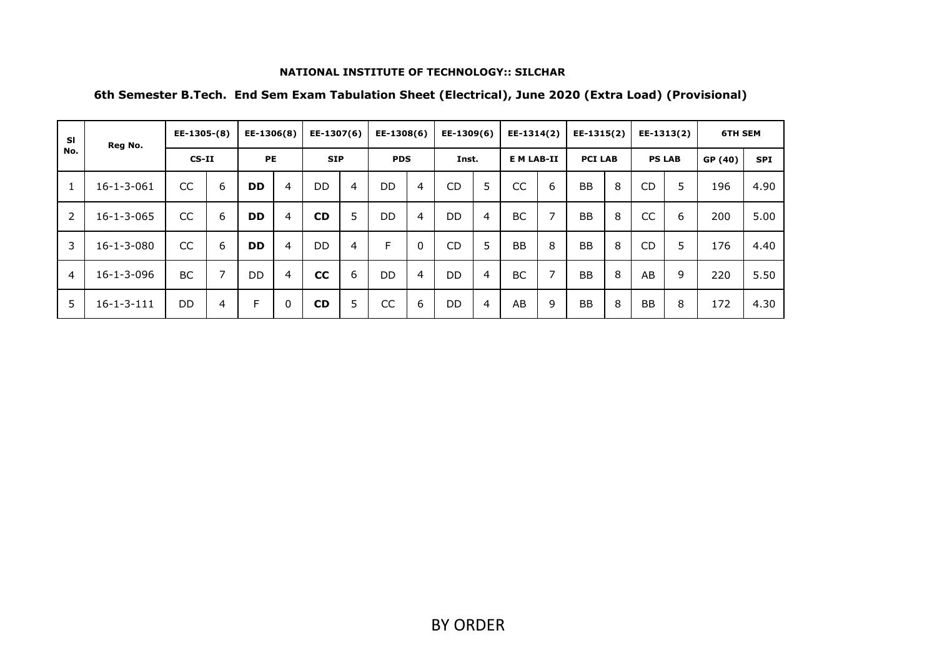| <b>SI</b>      | Reg No.            | EE-1305-(8) |                | EE-1306(8) |          | EE-1307(6) |   | EE-1308(6) |              | EE-1309(6) |                | EE-1314(2)        |                          | EE-1315(2)     |   |           | EE-1313(2)    | <b>6TH SEM</b> |            |
|----------------|--------------------|-------------|----------------|------------|----------|------------|---|------------|--------------|------------|----------------|-------------------|--------------------------|----------------|---|-----------|---------------|----------------|------------|
| No.            |                    | $CS-II$     |                | <b>PE</b>  |          | <b>SIP</b> |   | <b>PDS</b> |              | Inst.      |                | <b>E M LAB-II</b> |                          | <b>PCI LAB</b> |   |           | <b>PS LAB</b> | GP (40)        | <b>SPI</b> |
|                | $16 - 1 - 3 - 061$ | <b>CC</b>   | 6              | <b>DD</b>  | 4        | <b>DD</b>  | 4 | <b>DD</b>  | 4            | <b>CD</b>  | 5              | CC                | 6                        | <b>BB</b>      | 8 | <b>CD</b> | 5             | 196            | 4.90       |
| 2              | $16 - 1 - 3 - 065$ | CC          | 6              | <b>DD</b>  | 4        | <b>CD</b>  | 5 | <b>DD</b>  | 4            | <b>DD</b>  | $\overline{4}$ | <b>BC</b>         | $\overline{\phantom{0}}$ | <b>BB</b>      | 8 | CC        | 6             | 200            | 5.00       |
| 3              | $16 - 1 - 3 - 080$ | <b>CC</b>   | 6              | <b>DD</b>  | 4        | DD.        | 4 | F          | $\mathbf{0}$ | <b>CD</b>  | 5              | <b>BB</b>         | 8                        | <b>BB</b>      | 8 | <b>CD</b> | 5             | 176            | 4.40       |
| $\overline{4}$ | $16 - 1 - 3 - 096$ | BC.         | $\overline{7}$ | <b>DD</b>  | 4        | cc         | 6 | <b>DD</b>  | 4            | <b>DD</b>  | $\overline{4}$ | <b>BC</b>         | $\overline{\phantom{0}}$ | <b>BB</b>      | 8 | AB        | 9             | 220            | 5.50       |
| 5              | $16 - 1 - 3 - 111$ | <b>DD</b>   | $\overline{4}$ | F          | $\Omega$ | <b>CD</b>  | 5 | CC         | 6            | <b>DD</b>  | $\overline{4}$ | AB                | 9                        | <b>BB</b>      | 8 | <b>BB</b> | 8             | 172            | 4.30       |

## **6th Semester B.Tech. End Sem Exam Tabulation Sheet (Electrical), June 2020 (Extra Load) (Provisional)**